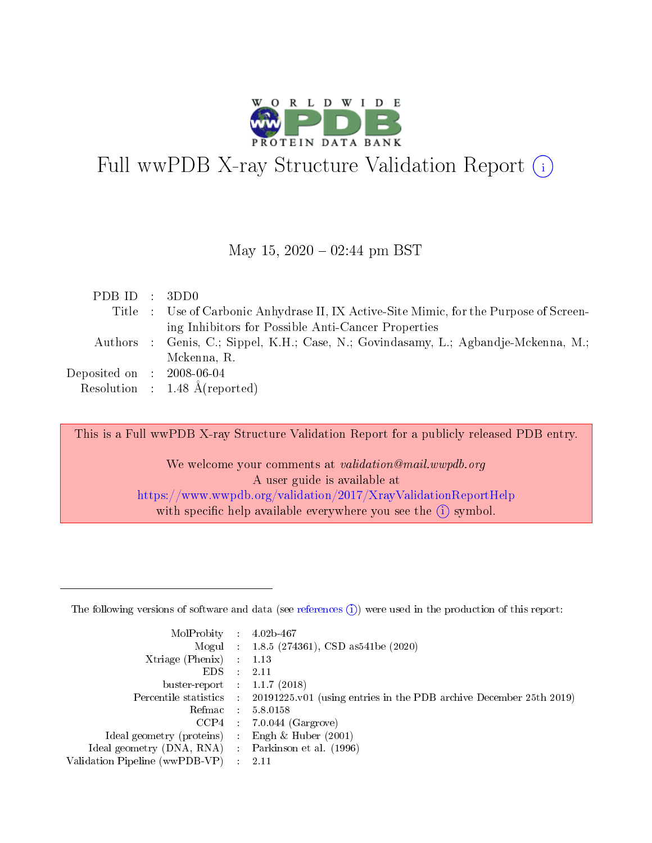

# Full wwPDB X-ray Structure Validation Report  $(i)$

#### May 15,  $2020 - 02:44$  pm BST

| PDBID : 3DD0                |                                                                                        |
|-----------------------------|----------------------------------------------------------------------------------------|
|                             | Title : Use of Carbonic Anhydrase II, IX Active-Site Mimic, for the Purpose of Screen- |
|                             | ing Inhibitors for Possible Anti-Cancer Properties                                     |
|                             | Authors : Genis, C.; Sippel, K.H.; Case, N.; Govindasamy, L.; Agbandje-Mckenna, M.;    |
|                             | Mckenna, R.                                                                            |
| Deposited on : $2008-06-04$ |                                                                                        |
|                             | Resolution : $1.48 \text{ Å}$ (reported)                                               |

This is a Full wwPDB X-ray Structure Validation Report for a publicly released PDB entry.

We welcome your comments at validation@mail.wwpdb.org A user guide is available at <https://www.wwpdb.org/validation/2017/XrayValidationReportHelp> with specific help available everywhere you see the  $(i)$  symbol.

The following versions of software and data (see [references](https://www.wwpdb.org/validation/2017/XrayValidationReportHelp#references)  $(1)$ ) were used in the production of this report:

| MolProbity :                   |               | $4.02b - 467$                                                               |
|--------------------------------|---------------|-----------------------------------------------------------------------------|
|                                |               | Mogul : $1.8.5$ (274361), CSD as 541be (2020)                               |
| Xtriage (Phenix)               | $\mathcal{L}$ | 1.13                                                                        |
| EDS.                           |               | 2.11                                                                        |
| buster-report : $1.1.7$ (2018) |               |                                                                             |
| Percentile statistics :        |               | $20191225 \text{v}01$ (using entries in the PDB archive December 25th 2019) |
| Refmac :                       |               | 5.8.0158                                                                    |
| CCP4                           |               | $7.0.044$ (Gargrove)                                                        |
| Ideal geometry (proteins) :    |               | Engh $\&$ Huber (2001)                                                      |
| Ideal geometry (DNA, RNA) :    |               | Parkinson et al. (1996)                                                     |
| Validation Pipeline (wwPDB-VP) | $\mathcal{L}$ | 2.11                                                                        |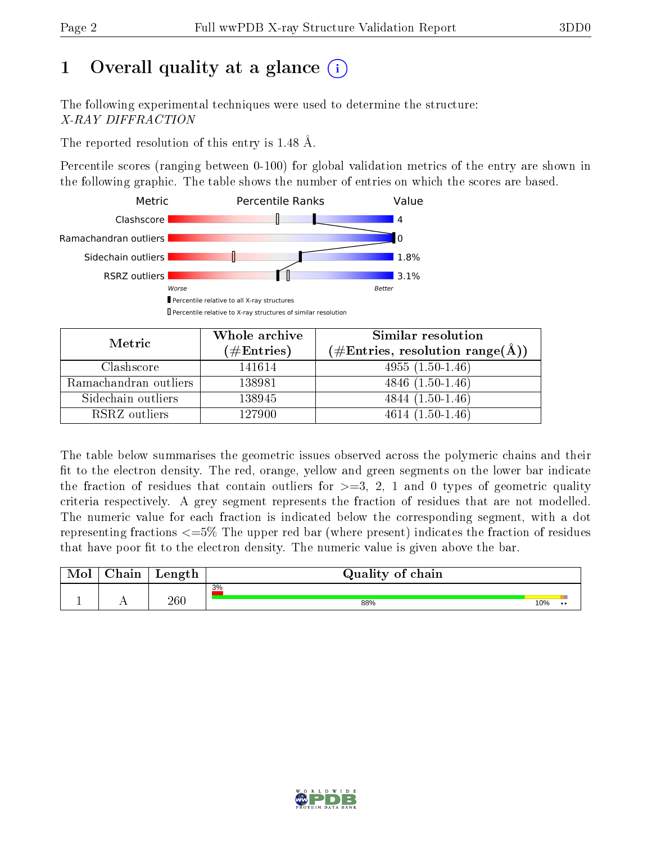# 1 [O](https://www.wwpdb.org/validation/2017/XrayValidationReportHelp#overall_quality)verall quality at a glance  $(i)$

The following experimental techniques were used to determine the structure: X-RAY DIFFRACTION

The reported resolution of this entry is 1.48 Å.

Percentile scores (ranging between 0-100) for global validation metrics of the entry are shown in the following graphic. The table shows the number of entries on which the scores are based.



| Metric                | Whole archive<br>$(\#\text{Entries})$ | Similar resolution<br>$(\#\text{Entries}, \text{resolution range}(\AA))$ |
|-----------------------|---------------------------------------|--------------------------------------------------------------------------|
| Clashscore            | 141614                                | $4955(1.50-1.46)$                                                        |
| Ramachandran outliers | 138981                                | $4846(1.50-1.46)$                                                        |
| Sidechain outliers    | 138945                                | $4844(1.50-1.46)$                                                        |
| RSRZ outliers         | 127900                                | $4614(1.50-1.46)$                                                        |

The table below summarises the geometric issues observed across the polymeric chains and their fit to the electron density. The red, orange, yellow and green segments on the lower bar indicate the fraction of residues that contain outliers for  $\geq=3$ , 2, 1 and 0 types of geometric quality criteria respectively. A grey segment represents the fraction of residues that are not modelled. The numeric value for each fraction is indicated below the corresponding segment, with a dot representing fractions  $\epsilon = 5\%$  The upper red bar (where present) indicates the fraction of residues that have poor fit to the electron density. The numeric value is given above the bar.

| $^n$ hain | Length | Quality of chain |     |                  |
|-----------|--------|------------------|-----|------------------|
|           |        | 3%               |     |                  |
|           | 260    | 88%              | 10% | $\bullet\bullet$ |

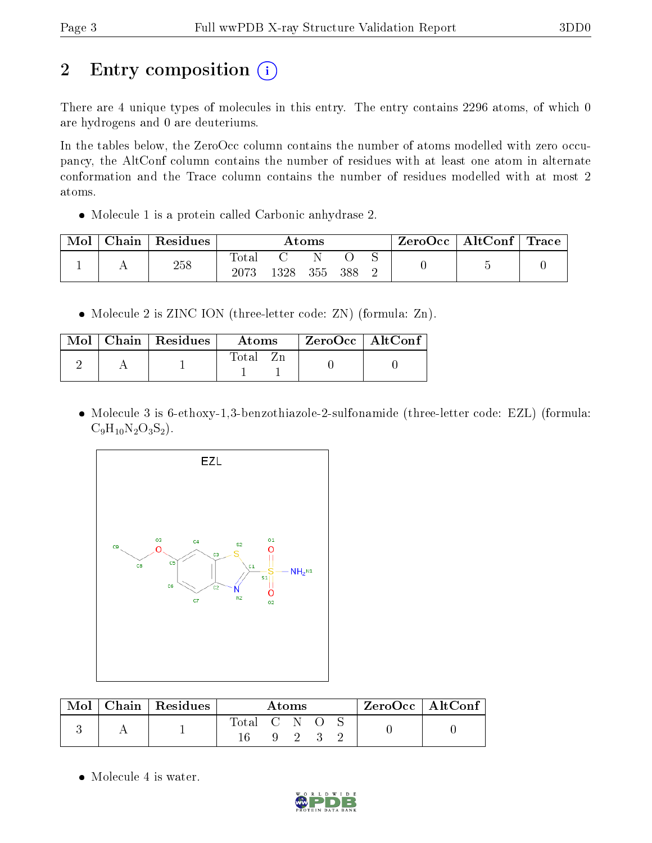# 2 Entry composition (i)

There are 4 unique types of molecules in this entry. The entry contains 2296 atoms, of which 0 are hydrogens and 0 are deuteriums.

In the tables below, the ZeroOcc column contains the number of atoms modelled with zero occupancy, the AltConf column contains the number of residues with at least one atom in alternate conformation and the Trace column contains the number of residues modelled with at most 2 atoms.

Molecule 1 is a protein called Carbonic anhydrase 2.

| Mol | Chain | Residues |               |     | Atoms |     | ZeroOcc | $\mid$ AltConf $\mid$ Trace |  |
|-----|-------|----------|---------------|-----|-------|-----|---------|-----------------------------|--|
|     |       | 258      | Total<br>2073 | 328 | 355   | 388 |         |                             |  |

• Molecule 2 is ZINC ION (three-letter code: ZN) (formula: Zn).

| Mol | Chain   Residues | Atoms | ZeroOcc   AltConf |  |
|-----|------------------|-------|-------------------|--|
|     |                  | Total |                   |  |

• Molecule 3 is 6-ethoxy-1,3-benzothiazole-2-sulfonamide (three-letter code: EZL) (formula:  $C_9H_{10}N_2O_3S_2$ .



| Mol | Chain   Residues | Atoms       |              |  | $ZeroOcc$   AltConf |  |
|-----|------------------|-------------|--------------|--|---------------------|--|
|     |                  | Total C N O | $\mathbf{Q}$ |  |                     |  |
|     |                  |             |              |  |                     |  |

• Molecule 4 is water.

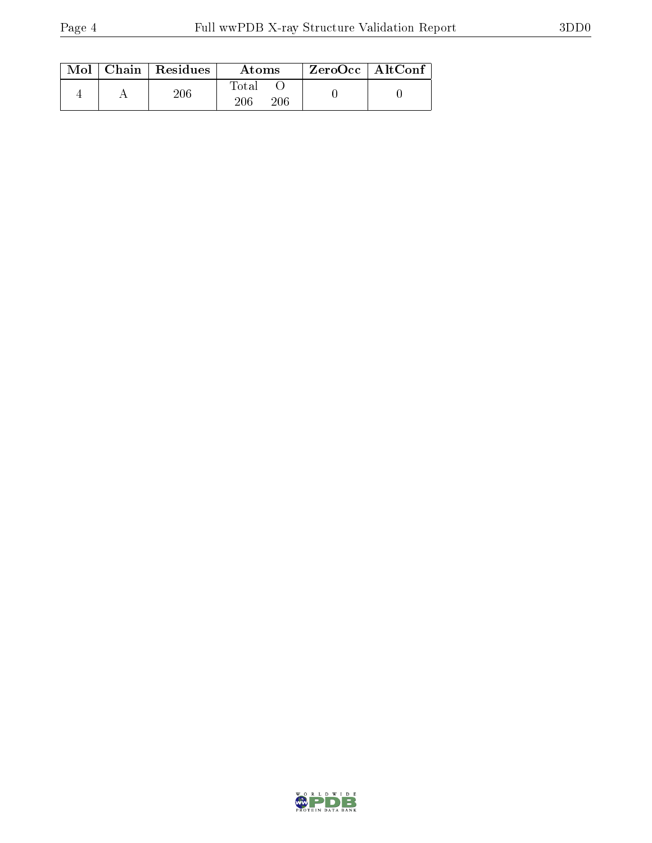|  | $Mol$   Chain   Residues | Atoms               | $ZeroOcc \   \ AltConf$ |  |
|--|--------------------------|---------------------|-------------------------|--|
|  | 206                      | Total<br>206<br>206 |                         |  |

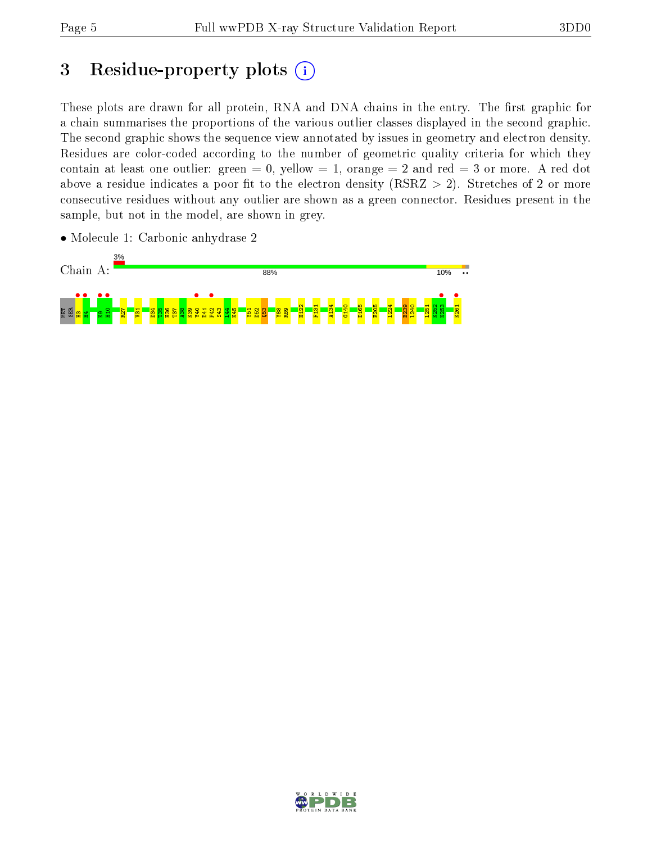# 3 Residue-property plots (i)

These plots are drawn for all protein, RNA and DNA chains in the entry. The first graphic for a chain summarises the proportions of the various outlier classes displayed in the second graphic. The second graphic shows the sequence view annotated by issues in geometry and electron density. Residues are color-coded according to the number of geometric quality criteria for which they contain at least one outlier: green  $= 0$ , yellow  $= 1$ , orange  $= 2$  and red  $= 3$  or more. A red dot above a residue indicates a poor fit to the electron density (RSRZ  $> 2$ ). Stretches of 2 or more consecutive residues without any outlier are shown as a green connector. Residues present in the sample, but not in the model, are shown in grey.



• Molecule 1: Carbonic anhydrase 2

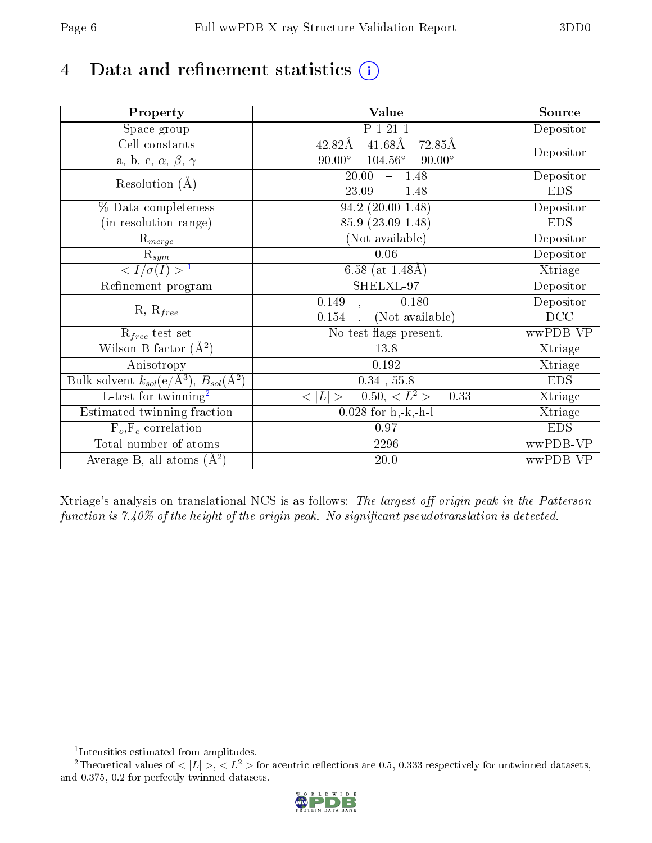## 4 Data and refinement statistics  $(i)$

| Property                                                         | Value                                            | Source     |
|------------------------------------------------------------------|--------------------------------------------------|------------|
| Space group                                                      | P 1 21 1                                         | Depositor  |
| Cell constants                                                   | $41.68\text{\AA}$<br>72.85Å<br>42.82Å            |            |
| a, b, c, $\alpha$ , $\beta$ , $\gamma$                           | $90.00^\circ$<br>$104.56^\circ$<br>$90.00^\circ$ | Depositor  |
| Resolution $(A)$                                                 | $-1.48$<br>20.00                                 | Depositor  |
|                                                                  | 23.09<br>1.48<br>$\equiv$                        | <b>EDS</b> |
| % Data completeness                                              | $94.2(20.00-1.48)$                               | Depositor  |
| (in resolution range)                                            | 85.9 (23.09-1.48)                                | <b>EDS</b> |
| $R_{merge}$                                                      | (Not available)                                  | Depositor  |
| $\mathrm{R}_{sym}$                                               | 0.06                                             | Depositor  |
| $\sqrt{I/\sigma}(I) > 1$                                         | 6.58 (at $1.48\text{\AA}$ )                      | Xtriage    |
| Refinement program                                               | SHELXL-97                                        | Depositor  |
|                                                                  | 0.149<br>0.180                                   | Depositor  |
| $R, R_{free}$                                                    | (Not available)<br>0.154                         | DCC        |
| $R_{free}$ test set                                              | No test flags present.                           | wwPDB-VP   |
| Wilson B-factor $(A^2)$                                          | 13.8                                             | Xtriage    |
| Anisotropy                                                       | 0.192                                            | Xtriage    |
| Bulk solvent $k_{sol}(\text{e}/\text{A}^3), B_{sol}(\text{A}^2)$ | $0.34$ , 55.8                                    | <b>EDS</b> |
| $\overline{\text{L-test}$ for twinning <sup>2</sup>              | $< L >$ = 0.50, $< L2$ = 0.33                    | Xtriage    |
| Estimated twinning fraction                                      | $\overline{0.0}28$ for h,-k,-h-l                 | Xtriage    |
| $F_o, F_c$ correlation                                           | 0.97                                             | <b>EDS</b> |
| Total number of atoms                                            | 2296                                             | wwPDB-VP   |
| Average B, all atoms $(A^2)$                                     | $20.0\,$                                         | wwPDB-VP   |

Xtriage's analysis on translational NCS is as follows: The largest off-origin peak in the Patterson function is  $7.40\%$  of the height of the origin peak. No significant pseudotranslation is detected.

<sup>&</sup>lt;sup>2</sup>Theoretical values of  $\langle |L| \rangle$ ,  $\langle L^2 \rangle$  for acentric reflections are 0.5, 0.333 respectively for untwinned datasets, and 0.375, 0.2 for perfectly twinned datasets.



<span id="page-5-1"></span><span id="page-5-0"></span><sup>1</sup> Intensities estimated from amplitudes.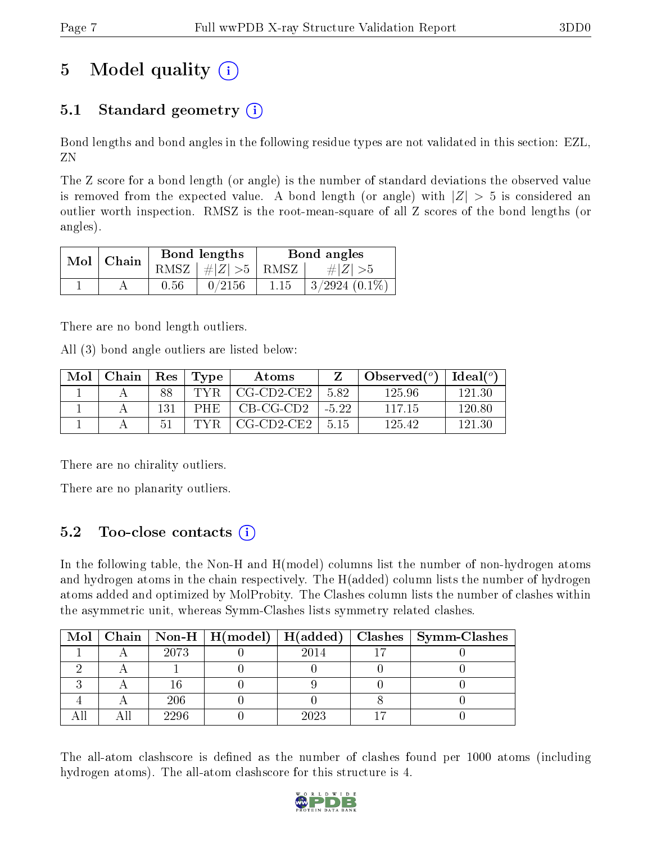## 5 Model quality  $(i)$

## 5.1 Standard geometry  $(i)$

Bond lengths and bond angles in the following residue types are not validated in this section: EZL, ZN

The Z score for a bond length (or angle) is the number of standard deviations the observed value is removed from the expected value. A bond length (or angle) with  $|Z| > 5$  is considered an outlier worth inspection. RMSZ is the root-mean-square of all Z scores of the bond lengths (or angles).

| Mol | Chain |      | Bond lengths                            | Bond angles |                 |  |
|-----|-------|------|-----------------------------------------|-------------|-----------------|--|
|     |       |      | RMSZ $\mid \#  Z  > 5 \mid$ RMSZ $\mid$ |             | $\# Z  > 5$     |  |
|     |       | 0.56 | 0/2156                                  | 1.15        | $3/2924$ (0.1%) |  |

There are no bond length outliers.

All (3) bond angle outliers are listed below:

| Mol | Chain | Res | $\Gamma$ Type | Atoms                 |         | Observed $(°)$ | $Ideal(^o)$ |
|-----|-------|-----|---------------|-----------------------|---------|----------------|-------------|
|     |       | 88  | TYR           | $CG$ - $CD$ 2- $CE$ 2 | 582     | 125.96         | 121.30      |
|     |       | 131 | <b>PHE</b>    | $CB-CG-CD2$           | $-5.22$ | 117 15         | 120.80      |
|     |       | 51  | TYR           | $CG$ - $CD$ 2- $CE$ 2 | 5 15    | 125.42         | 121 30      |

There are no chirality outliers.

There are no planarity outliers.

## 5.2 Too-close contacts (i)

In the following table, the Non-H and H(model) columns list the number of non-hydrogen atoms and hydrogen atoms in the chain respectively. The H(added) column lists the number of hydrogen atoms added and optimized by MolProbity. The Clashes column lists the number of clashes within the asymmetric unit, whereas Symm-Clashes lists symmetry related clashes.

|  |      |      | Mol   Chain   Non-H   H(model)   H(added)   Clashes   Symm-Clashes |
|--|------|------|--------------------------------------------------------------------|
|  | 2073 | 2014 |                                                                    |
|  |      |      |                                                                    |
|  |      |      |                                                                    |
|  | 206  |      |                                                                    |
|  | 2296 | 2023 |                                                                    |

The all-atom clashscore is defined as the number of clashes found per 1000 atoms (including hydrogen atoms). The all-atom clashscore for this structure is 4.

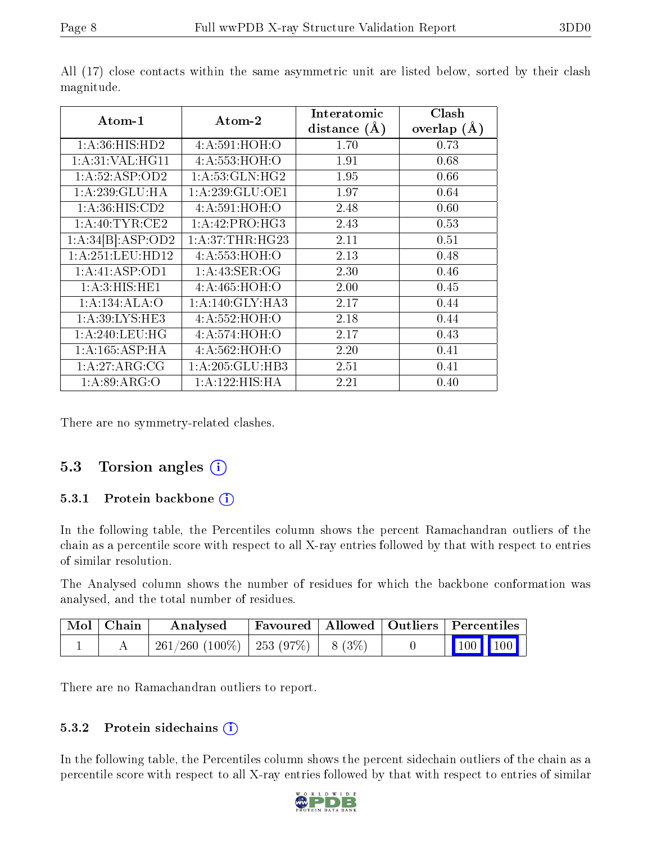|                    |                              | Interatomic    | Clash         |
|--------------------|------------------------------|----------------|---------------|
| Atom-1             | Atom-2                       | distance $(A)$ | overlap $(A)$ |
| 1: A:36: HIS: HD2  | 4: A:591:HOH:O               | 1.70           | 0.73          |
| 1: A:31: VAL:HGI1  | 4: A: 553: HOH: O            | 1.91           | 0.68          |
| 1:A:52:ASP:OD2     | 1: A:53: GLN: HG2            | 1.95           | 0.66          |
| 1:A:239:GLU:HA     | $1:A:\overline{239:GLU:OE1}$ | 1.97           | 0.64          |
| 1: A:36: HIS: CD2  | 4: A:591:HOH:O               | 2.48           | 0.60          |
| 1: A:40: TYR:CE2   | 1: A:42: PRO:HG3             | 2.43           | 0.53          |
| 1:A:34[B]:ASP:OD2  | 1: A:37:THR:HG23             | 2.11           | 0.51          |
| 1: A:251:LEU:HD12  | 4: A: 553: HOH: O            | 2.13           | 0.48          |
| 1:A:41:ASP:OD1     | 1: A: 43: SER: OG            | 2.30           | 0.46          |
| 1: A:3: HIS: HE1   | 4: A: 465: HOH: O            | 2.00           | 0.45          |
| 1:A:134:ALA:O      | 1: A:140: GLY:HA3            | 2.17           | 0.44          |
| 1: A:39: LYS: HE3  | 4: A: 552: HOH: O            | 2.18           | 0.44          |
| 1: A:240:LEU:HG    | 4: A:574:HOH:O               | 2.17           | 0.43          |
| 1: A: 165: ASP: HA | 4: A:562: HOH:O              | 2.20           | 0.41          |
| 1:A:27:ARG:CG      | 1: A:205: GLU:HB3            | 2.51           | 0.41          |
| 1: A:89: ARG:O     | 1:A:122:HIS:HA               | 2.21           | $0.40\,$      |

All (17) close contacts within the same asymmetric unit are listed below, sorted by their clash magnitude.

There are no symmetry-related clashes.

### 5.3 Torsion angles (i)

#### 5.3.1 Protein backbone  $(i)$

In the following table, the Percentiles column shows the percent Ramachandran outliers of the chain as a percentile score with respect to all X-ray entries followed by that with respect to entries of similar resolution.

The Analysed column shows the number of residues for which the backbone conformation was analysed, and the total number of residues.

| $\mid$ Mol $\mid$ Chain | Analysed                                 |  | Favoured   Allowed   Outliers   Percentiles                               |  |
|-------------------------|------------------------------------------|--|---------------------------------------------------------------------------|--|
|                         | $261/260$ (100\%)   253 (97\%)   8 (3\%) |  | $\begin{array}{ c c c c c c }\n\hline\n100 & 100 & \\\hline\n\end{array}$ |  |

There are no Ramachandran outliers to report.

#### 5.3.2 Protein sidechains  $(i)$

In the following table, the Percentiles column shows the percent sidechain outliers of the chain as a percentile score with respect to all X-ray entries followed by that with respect to entries of similar

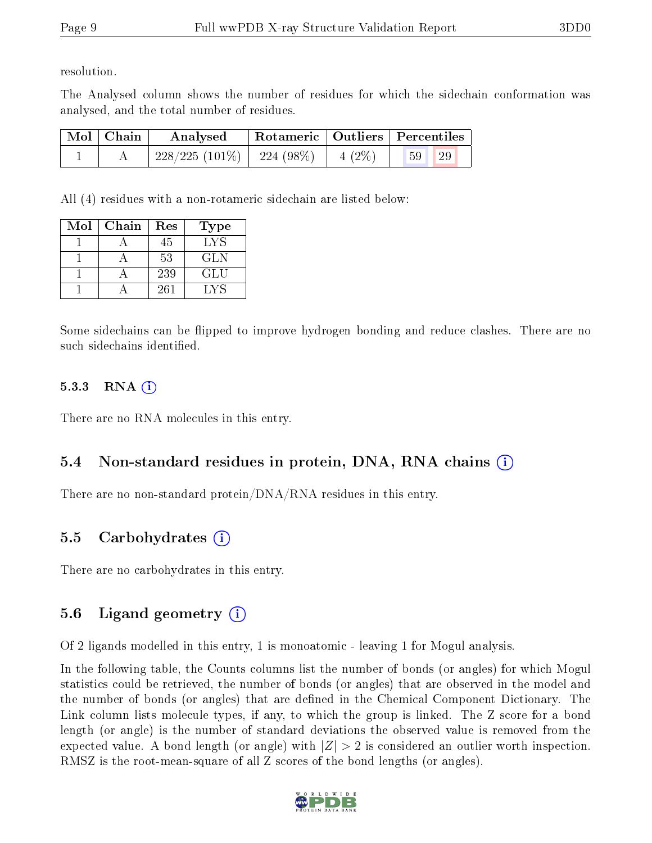resolution.

The Analysed column shows the number of residues for which the sidechain conformation was analysed, and the total number of residues.

| $\mid$ Mol $\mid$ Chain | Analysed                       | Rotameric   Outliers   Percentiles |          |          |  |
|-------------------------|--------------------------------|------------------------------------|----------|----------|--|
|                         | $228/225$ (101\%)   224 (98\%) |                                    | $4(2\%)$ | 29<br>59 |  |

All (4) residues with a non-rotameric sidechain are listed below:

| Mol | Chain | Res | <b>Type</b> |
|-----|-------|-----|-------------|
|     |       | 45  | LYS         |
|     |       | 53  | <b>GLN</b>  |
|     |       | 239 | GLU         |
|     |       | 261 | I VS        |

Some sidechains can be flipped to improve hydrogen bonding and reduce clashes. There are no such sidechains identified.

### 5.3.3 RNA  $(i)$

There are no RNA molecules in this entry.

## 5.4 Non-standard residues in protein, DNA, RNA chains (i)

There are no non-standard protein/DNA/RNA residues in this entry.

## 5.5 Carbohydrates (i)

There are no carbohydrates in this entry.

## 5.6 Ligand geometry  $(i)$

Of 2 ligands modelled in this entry, 1 is monoatomic - leaving 1 for Mogul analysis.

In the following table, the Counts columns list the number of bonds (or angles) for which Mogul statistics could be retrieved, the number of bonds (or angles) that are observed in the model and the number of bonds (or angles) that are defined in the Chemical Component Dictionary. The Link column lists molecule types, if any, to which the group is linked. The Z score for a bond length (or angle) is the number of standard deviations the observed value is removed from the expected value. A bond length (or angle) with  $|Z| > 2$  is considered an outlier worth inspection. RMSZ is the root-mean-square of all Z scores of the bond lengths (or angles).

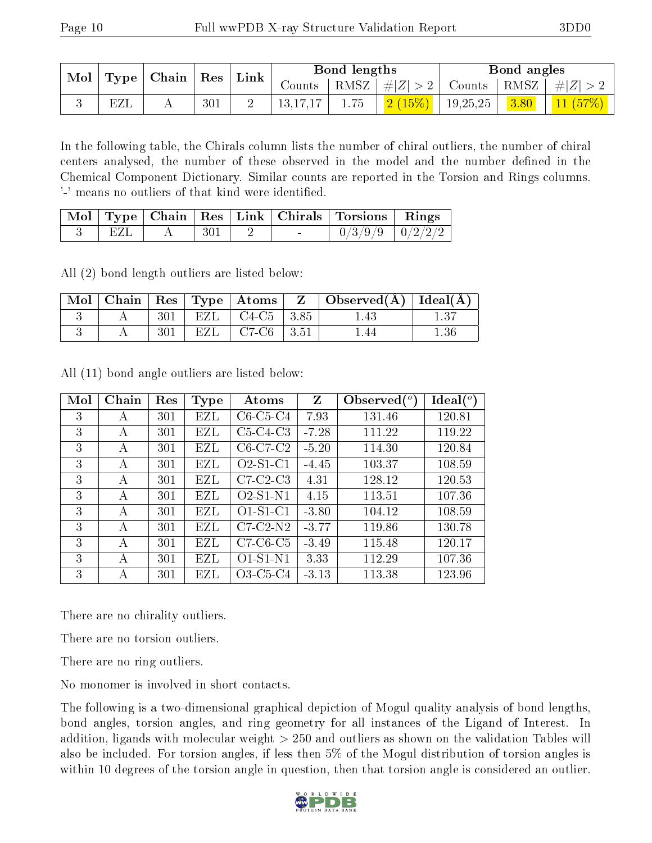|  |                                                                         |         | Bond lengths |      | Bond angles          |                                                                   |                                                                         |
|--|-------------------------------------------------------------------------|---------|--------------|------|----------------------|-------------------------------------------------------------------|-------------------------------------------------------------------------|
|  | $\vert$ Mol $\vert$ Type $\vert$ Chain $\vert$ Res $\vert$ Link $\vert$ |         |              |      |                      | Counts   RMSZ $\mid \#  Z  > 2$   Counts   RMSZ $\mid \#  Z  > 2$ |                                                                         |
|  | EZL                                                                     | $301\,$ | 13,17,17     | 1.75 | $2(15\%)$   19,25,25 |                                                                   | $\begin{array}{ c c c c }\hline 3.80 & 11 & (57\%)\ \hline \end{array}$ |

In the following table, the Chirals column lists the number of chiral outliers, the number of chiral centers analysed, the number of these observed in the model and the number defined in the Chemical Component Dictionary. Similar counts are reported in the Torsion and Rings columns. '-' means no outliers of that kind were identified.

|     |                                                     |  | Mol   Type   Chain   Res   Link   Chirals   Torsions   Rings |  |
|-----|-----------------------------------------------------|--|--------------------------------------------------------------|--|
| EZI | $\begin{array}{c} \begin{array}{c} \end{array}$ 301 |  | $0/3/9/9$ $0/2/2/2$                                          |  |

All (2) bond length outliers are listed below:

|  |     |     |                       | $\vert$ Mol $\vert$ Chain $\vert$ Res $\vert$ Type $\vert$ Atoms $\vert$ Z $\vert$ Observed(A) $\vert$ Ideal(A) |          |
|--|-----|-----|-----------------------|-----------------------------------------------------------------------------------------------------------------|----------|
|  | 301 |     | EZL   C4-C5   3.85    | 1.43                                                                                                            |          |
|  | 301 | EZL | $\sqrt{C7-C6}$   3.51 |                                                                                                                 | $1.36\,$ |

All (11) bond angle outliers are listed below:

| Mol | Chain | Res | Type | Atoms      | Z       | Observed $(^\circ)$ | Ideal $(^\circ)$ |
|-----|-------|-----|------|------------|---------|---------------------|------------------|
| 3   | А     | 301 | EZL  | $C6-C5-C4$ | 7.93    | 131.46              | 120.81           |
| 3   | А     | 301 | EZL  | $C5-C4-C3$ | $-7.28$ | 111.22              | 119.22           |
| 3   | А     | 301 | EZL  | $C6-C7-C2$ | $-5.20$ | 114.30              | 120.84           |
| 3   | А     | 301 | EZL  | $O2-S1-C1$ | $-4.45$ | 103.37              | 108.59           |
| 3   | А     | 301 | EZL  | $C7-C2-C3$ | 4.31    | 128.12              | 120.53           |
| 3   | А     | 301 | EZL  | $O2-S1-N1$ | 4.15    | 113.51              | 107.36           |
| 3   | А     | 301 | EZL  | $O1-S1-C1$ | $-3.80$ | 104.12              | 108.59           |
| 3   | А     | 301 | EZL  | $C7-C2-N2$ | $-3.77$ | 119.86              | 130.78           |
| 3   | А     | 301 | EZL  | $C7-C6-C5$ | $-3.49$ | 115.48              | 120.17           |
| 3   | А     | 301 | EZL  | $O1-S1-N1$ | 3.33    | 112.29              | 107.36           |
| 3   | А     | 301 | EZL  | O3-C5-C4   | $-3.13$ | 113.38              | 123.96           |

There are no chirality outliers.

There are no torsion outliers.

There are no ring outliers.

No monomer is involved in short contacts.

The following is a two-dimensional graphical depiction of Mogul quality analysis of bond lengths, bond angles, torsion angles, and ring geometry for all instances of the Ligand of Interest. In addition, ligands with molecular weight > 250 and outliers as shown on the validation Tables will also be included. For torsion angles, if less then 5% of the Mogul distribution of torsion angles is within 10 degrees of the torsion angle in question, then that torsion angle is considered an outlier.

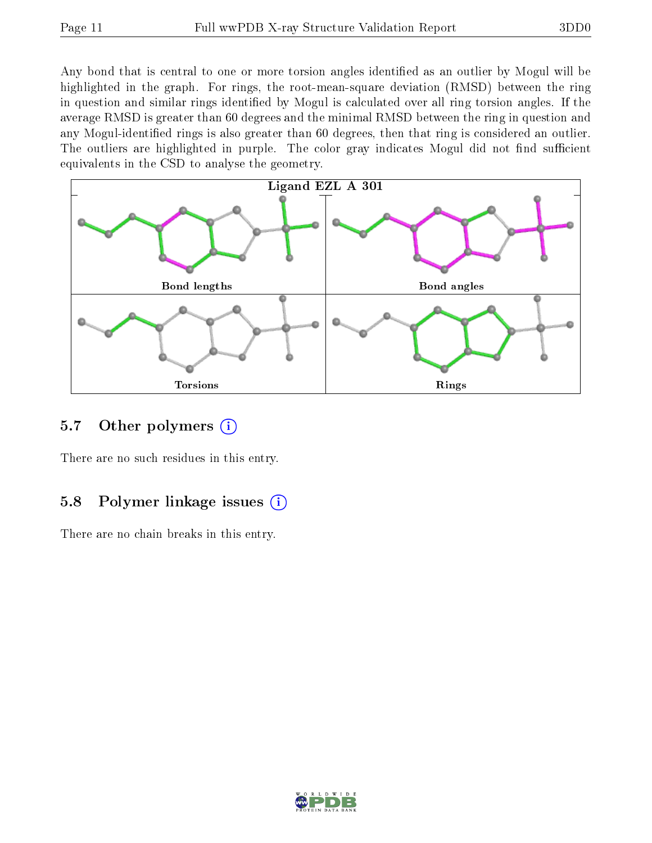Any bond that is central to one or more torsion angles identified as an outlier by Mogul will be highlighted in the graph. For rings, the root-mean-square deviation (RMSD) between the ring in question and similar rings identified by Mogul is calculated over all ring torsion angles. If the average RMSD is greater than 60 degrees and the minimal RMSD between the ring in question and any Mogul-identified rings is also greater than 60 degrees, then that ring is considered an outlier. The outliers are highlighted in purple. The color gray indicates Mogul did not find sufficient equivalents in the CSD to analyse the geometry.



### 5.7 [O](https://www.wwpdb.org/validation/2017/XrayValidationReportHelp#nonstandard_residues_and_ligands)ther polymers (i)

There are no such residues in this entry.

### 5.8 Polymer linkage issues (i)

There are no chain breaks in this entry.

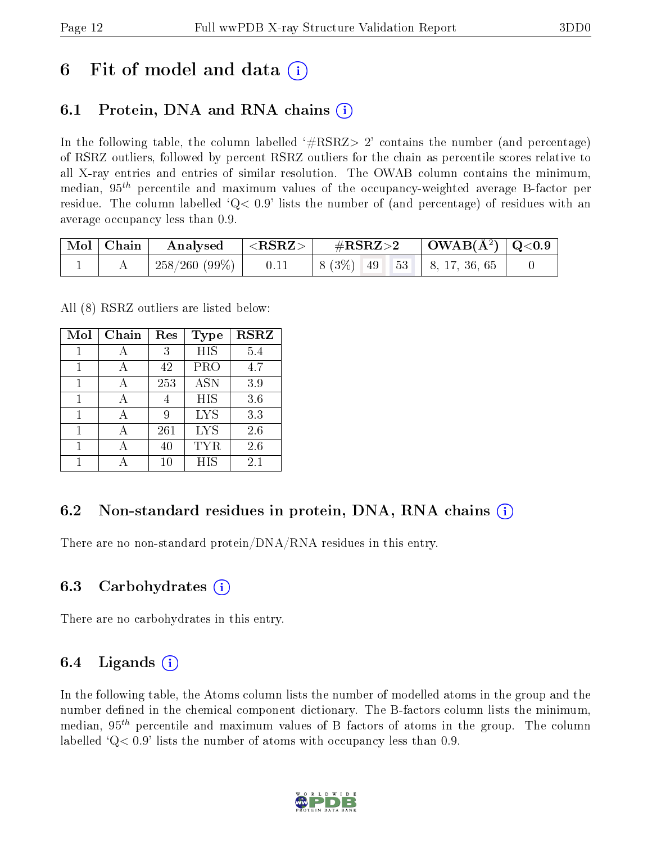## 6 Fit of model and data  $\left( \cdot \right)$

## 6.1 Protein, DNA and RNA chains (i)

In the following table, the column labelled  $#RSRZ>2'$  contains the number (and percentage) of RSRZ outliers, followed by percent RSRZ outliers for the chain as percentile scores relative to all X-ray entries and entries of similar resolution. The OWAB column contains the minimum, median,  $95<sup>th</sup>$  percentile and maximum values of the occupancy-weighted average B-factor per residue. The column labelled  $Q < 0.9$  lists the number of (and percentage) of residues with an average occupancy less than 0.9.

| $\mid$ Mol $\mid$ Chain $\mid$ | $\boldsymbol{\mathrm{Analysed}}$ | $ \langle \mathrm{RSRZ}\rangle $ | $\rm \#RSRZ{>}2$                                      | $\vert$ OWAB(Å <sup>2</sup> ) $\vert$ Q<0.9 |  |
|--------------------------------|----------------------------------|----------------------------------|-------------------------------------------------------|---------------------------------------------|--|
|                                | $\pm 258/260(99\%)$              | 0.11                             | $\vert 8 (3\%) \vert 49 \vert 53 \vert 8, 17, 36, 65$ |                                             |  |

All (8) RSRZ outliers are listed below:

| Mol | Chain | Res    | Type       | $\operatorname{RSRZ}$ |
|-----|-------|--------|------------|-----------------------|
| 1   |       | 3      | <b>HIS</b> | 5.4                   |
|     |       | 42     | <b>PRO</b> | 4.7                   |
|     |       | 253    | <b>ASN</b> | 3.9                   |
| 1   |       |        | <b>HIS</b> | 3.6                   |
| 1   |       | 9      | <b>LYS</b> | 3.3                   |
| 1   |       | 261    | <b>LYS</b> | 2.6                   |
|     |       | 40     | TYR        | 2.6                   |
|     |       | $10\,$ | <b>HIS</b> | 2.1                   |

### 6.2 Non-standard residues in protein, DNA, RNA chains  $(i)$

There are no non-standard protein/DNA/RNA residues in this entry.

### 6.3 Carbohydrates (i)

There are no carbohydrates in this entry.

### 6.4 Ligands  $(i)$

In the following table, the Atoms column lists the number of modelled atoms in the group and the number defined in the chemical component dictionary. The B-factors column lists the minimum, median,  $95<sup>th</sup>$  percentile and maximum values of B factors of atoms in the group. The column labelled  $Q< 0.9$ ' lists the number of atoms with occupancy less than 0.9.